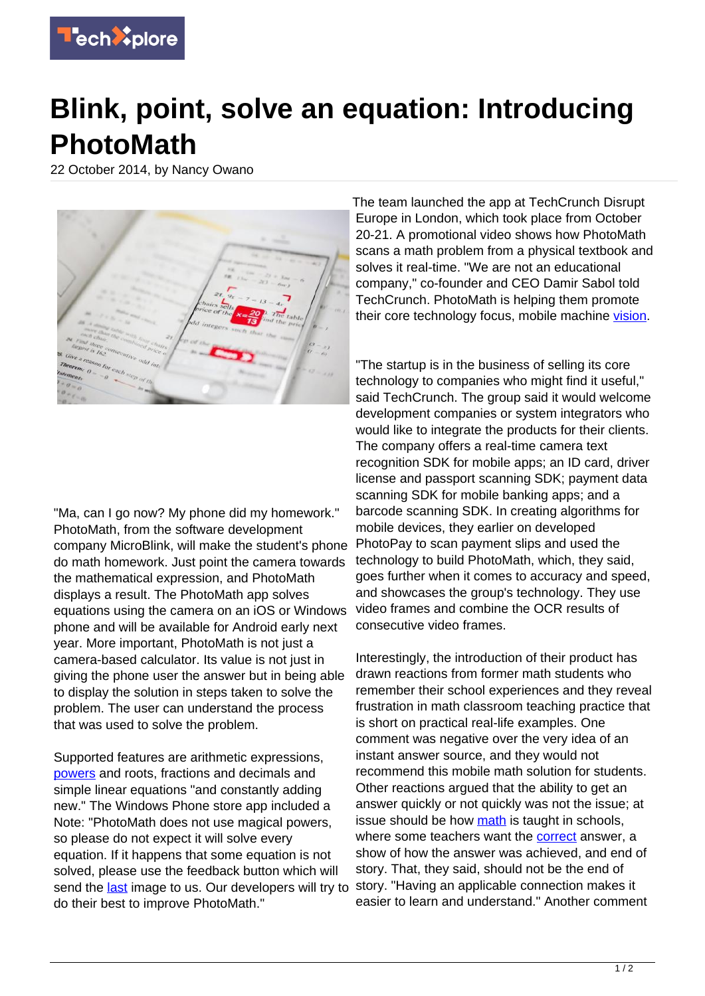

## **Blink, point, solve an equation: Introducing PhotoMath**

22 October 2014, by Nancy Owano



"Ma, can I go now? My phone did my homework." PhotoMath, from the software development company MicroBlink, will make the student's phone do math homework. Just point the camera towards the mathematical expression, and PhotoMath displays a result. The PhotoMath app solves equations using the camera on an iOS or Windows phone and will be available for Android early next year. More important, PhotoMath is not just a camera-based calculator. Its value is not just in giving the phone user the answer but in being able to display the solution in steps taken to solve the problem. The user can understand the process that was used to solve the problem.

Supported features are arithmetic expressions, [powers](https://photomath.net/) and roots, fractions and decimals and simple linear equations "and constantly adding new." The Windows Phone store app included a Note: "PhotoMath does not use magical powers, so please do not expect it will solve every equation. If it happens that some equation is not solved, please use the feedback button which will send the [last](http://www.windowsphone.com/en-us/store/app/photomath/1f25d5bd-9e38-43f2-a507-a8bccc36f2e6) image to us. Our developers will try to do their best to improve PhotoMath."

The team launched the app at TechCrunch Disrupt Europe in London, which took place from October 20-21. A promotional video shows how PhotoMath scans a math problem from a physical textbook and solves it real-time. "We are not an educational company," co-founder and CEO Damir Sabol told TechCrunch. PhotoMath is helping them promote their core technology focus, mobile machine [vision](http://techcrunch.com/2014/10/20/microblink-launches-photomath-to-solve-math-equations-with-a-phone/).

"The startup is in the business of selling its core technology to companies who might find it useful," said TechCrunch. The group said it would welcome development companies or system integrators who would like to integrate the products for their clients. The company offers a real-time camera text recognition SDK for mobile apps; an ID card, driver license and passport scanning SDK; payment data scanning SDK for mobile banking apps; and a barcode scanning SDK. In creating algorithms for mobile devices, they earlier on developed PhotoPay to scan payment slips and used the technology to build PhotoMath, which, they said, goes further when it comes to accuracy and speed, and showcases the group's technology. They use video frames and combine the OCR results of consecutive video frames.

Interestingly, the introduction of their product has drawn reactions from former math students who remember their school experiences and they reveal frustration in math classroom teaching practice that is short on practical real-life examples. One comment was negative over the very idea of an instant answer source, and they would not recommend this mobile math solution for students. Other reactions argued that the ability to get an answer quickly or not quickly was not the issue; at issue should be how [math](https://techxplore.com/tags/math/) is taught in schools, where some teachers want the [correct](http://vimeo.com/109405701) answer, a show of how the answer was achieved, and end of story. That, they said, should not be the end of story. "Having an applicable connection makes it easier to learn and understand." Another comment